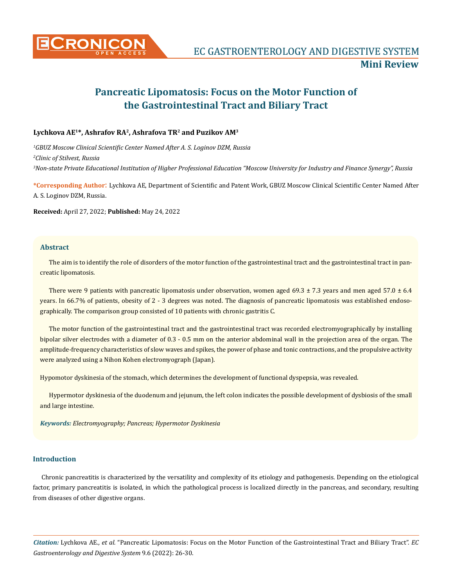

# **Pancreatic Lipomatosis: Focus on the Motor Function of the Gastrointestinal Tract and Biliary Tract**

## **Lychkova AE1\*, Ashrafov RA2, Ashrafova TR2 and Puzikov AM3**

*1 GBUZ Moscow Clinical Scientific Center Named After A. S. Loginov DZM, Russia 2 Clinic of Stilvest, Russia 3 Non-state Private Educational Institution of Higher Professional Education "Moscow University for Industry and Finance Synergy", Russia*

**\*Corresponding Author**: Lychkova AE, Department of Scientific and Patent Work, GBUZ Moscow Clinical Scientific Center Named After A. S. Loginov DZM, Russia.

**Received:** April 27, 2022; **Published:** May 24, 2022

#### **Abstract**

The aim is to identify the role of disorders of the motor function of the gastrointestinal tract and the gastrointestinal tract in pancreatic lipomatosis.

There were 9 patients with pancreatic lipomatosis under observation, women aged 69.3  $\pm$  7.3 years and men aged 57.0  $\pm$  6.4 years. In 66.7% of patients, obesity of 2 - 3 degrees was noted. The diagnosis of pancreatic lipomatosis was established endosographically. The comparison group consisted of 10 patients with chronic gastritis C.

The motor function of the gastrointestinal tract and the gastrointestinal tract was recorded electromyographically by installing bipolar silver electrodes with a diameter of 0.3 - 0.5 mm on the anterior abdominal wall in the projection area of the organ. The amplitude-frequency characteristics of slow waves and spikes, the power of phase and tonic contractions, and the propulsive activity were analyzed using a Nihon Kohen electromyograph (Japan).

Hypomotor dyskinesia of the stomach, which determines the development of functional dyspepsia, was revealed.

Hypermotor dyskinesia of the duodenum and jejunum, the left colon indicates the possible development of dysbiosis of the small and large intestine.

*Keywords: Electromyography; Pancreas; Hypermotor Dyskinesia*

## **Introduction**

Chronic pancreatitis is characterized by the versatility and complexity of its etiology and pathogenesis. Depending on the etiological factor, primary pancreatitis is isolated, in which the pathological process is localized directly in the pancreas, and secondary, resulting from diseases of other digestive organs.

*Citation:* Lychkova AE*., et al.* "Pancreatic Lipomatosis: Focus on the Motor Function of the Gastrointestinal Tract and Biliary Tract". *EC Gastroenterology and Digestive System* 9.6 (2022): 26-30.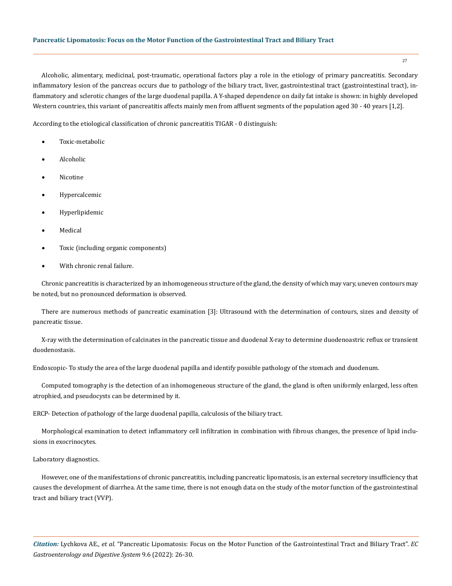Alcoholic, alimentary, medicinal, post-traumatic, operational factors play a role in the etiology of primary pancreatitis. Secondary inflammatory lesion of the pancreas occurs due to pathology of the biliary tract, liver, gastrointestinal tract (gastrointestinal tract), inflammatory and sclerotic changes of the large duodenal papilla. A Y-shaped dependence on daily fat intake is shown: in highly developed Western countries, this variant of pancreatitis affects mainly men from affluent segments of the population aged 30 - 40 years [1,2].

According to the etiological classification of chronic pancreatitis TIGAR - 0 distinguish:

- Toxic-metabolic
- • Alcoholic
- • Nicotine
- • Hypercalcemic
- **Hyperlipidemic**
- **Medical**
- Toxic (including organic components)
- With chronic renal failure.

Chronic pancreatitis is characterized by an inhomogeneous structure of the gland, the density of which may vary, uneven contours may be noted, but no pronounced deformation is observed.

There are numerous methods of pancreatic examination [3]: Ultrasound with the determination of contours, sizes and density of pancreatic tissue.

X-ray with the determination of calcinates in the pancreatic tissue and duodenal X-ray to determine duodenoastric reflux or transient duodenostasis.

Endoscopic- To study the area of the large duodenal papilla and identify possible pathology of the stomach and duodenum.

Computed tomography is the detection of an inhomogeneous structure of the gland, the gland is often uniformly enlarged, less often atrophied, and pseudocysts can be determined by it.

ERCP- Detection of pathology of the large duodenal papilla, calculosis of the biliary tract.

Morphological examination to detect inflammatory cell infiltration in combination with fibrous changes, the presence of lipid inclusions in exocrinocytes.

## Laboratory diagnostics.

However, one of the manifestations of chronic pancreatitis, including pancreatic lipomatosis, is an external secretory insufficiency that causes the development of diarrhea. At the same time, there is not enough data on the study of the motor function of the gastrointestinal tract and biliary tract (VVP).

*Citation:* Lychkova AE*., et al.* "Pancreatic Lipomatosis: Focus on the Motor Function of the Gastrointestinal Tract and Biliary Tract". *EC Gastroenterology and Digestive System* 9.6 (2022): 26-30.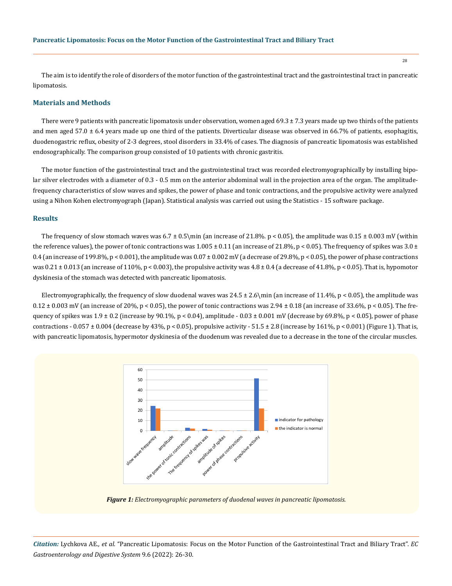The aim is to identify the role of disorders of the motor function of the gastrointestinal tract and the gastrointestinal tract in pancreatic lipomatosis.

## **Materials and Methods**

There were 9 patients with pancreatic lipomatosis under observation, women aged  $69.3 \pm 7.3$  years made up two thirds of the patients and men aged  $57.0 \pm 6.4$  years made up one third of the patients. Diverticular disease was observed in 66.7% of patients, esophagitis, duodenogastric reflux, obesity of 2-3 degrees, stool disorders in 33.4% of cases. The diagnosis of pancreatic lipomatosis was established endosographically. The comparison group consisted of 10 patients with chronic gastritis.

The motor function of the gastrointestinal tract and the gastrointestinal tract was recorded electromyographically by installing bipolar silver electrodes with a diameter of 0.3 - 0.5 mm on the anterior abdominal wall in the projection area of the organ. The amplitudefrequency characteristics of slow waves and spikes, the power of phase and tonic contractions, and the propulsive activity were analyzed using a Nihon Kohen electromyograph (Japan). Statistical analysis was carried out using the Statistics - 15 software package.

#### **Results**

The frequency of slow stomach waves was  $6.7 \pm 0.5\$ min (an increase of 21.8% p < 0.05), the amplitude was  $0.15 \pm 0.003$  mV (within the reference values), the power of tonic contractions was  $1.005 \pm 0.11$  (an increase of 21.8%, p < 0.05). The frequency of spikes was  $3.0 \pm$ 0.4 (an increase of 199.8%,  $p < 0.001$ ), the amplitude was  $0.07 \pm 0.002$  mV (a decrease of 29.8%,  $p < 0.05$ ), the power of phase contractions was  $0.21 \pm 0.013$  (an increase of 110%, p < 0.003), the propulsive activity was  $4.8 \pm 0.4$  (a decrease of 41.8%, p < 0.05). That is, hypomotor dyskinesia of the stomach was detected with pancreatic lipomatosis.

Electromyographically, the frequency of slow duodenal waves was  $24.5 \pm 2.6\$ min (an increase of 11.4%, p < 0.05), the amplitude was  $0.12 \pm 0.003$  mV (an increase of 20%, p < 0.05), the power of tonic contractions was  $2.94 \pm 0.18$  (an increase of 33.6%, p < 0.05). The frequency of spikes was  $1.9 \pm 0.2$  (increase by 90.1%, p < 0.04), amplitude - 0.03  $\pm$  0.001 mV (decrease by 69.8%, p < 0.05), power of phase contractions - 0.057  $\pm$  0.004 (decrease by 43%, p < 0.05), propulsive activity - 51.5  $\pm$  2.8 (increase by 161%, p < 0.001) (Figure 1). That is, with pancreatic lipomatosis, hypermotor dyskinesia of the duodenum was revealed due to a decrease in the tone of the circular muscles.



*Figure 1: Electromyographic parameters of duodenal waves in pancreatic lipomatosis.*

*Citation:* Lychkova AE*., et al.* "Pancreatic Lipomatosis: Focus on the Motor Function of the Gastrointestinal Tract and Biliary Tract". *EC Gastroenterology and Digestive System* 9.6 (2022): 26-30.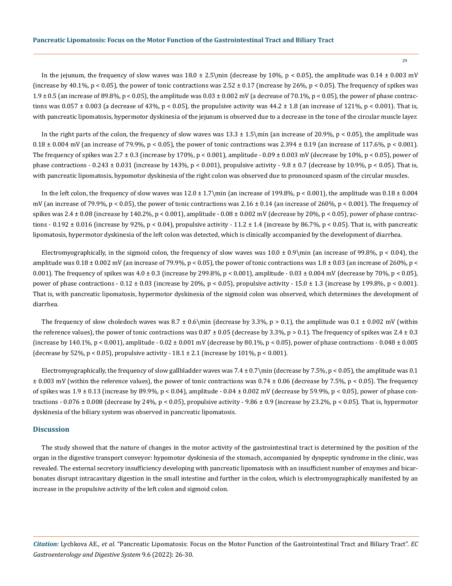In the jejunum, the frequency of slow waves was  $18.0 \pm 2.5\$ min (decrease by 10%, p < 0.05), the amplitude was  $0.14 \pm 0.003$  mV (increase by 40.1%, p < 0.05), the power of tonic contractions was  $2.52 \pm 0.17$  (increase by 26%, p < 0.05). The frequency of spikes was  $1.9 \pm 0.5$  (an increase of 89.8%, p < 0.05), the amplitude was  $0.03 \pm 0.002$  mV (a decrease of 70.1%, p < 0.05), the power of phase contractions was  $0.057 \pm 0.003$  (a decrease of 43%, p < 0.05), the propulsive activity was  $44.2 \pm 1.8$  (an increase of 121%, p < 0.001). That is, with pancreatic lipomatosis, hypermotor dyskinesia of the jejunum is observed due to a decrease in the tone of the circular muscle layer.

In the right parts of the colon, the frequency of slow waves was  $13.3 \pm 1.5$ \min (an increase of 20.9%, p < 0.05), the amplitude was  $0.18 \pm 0.004$  mV (an increase of 79.9%, p < 0.05), the power of tonic contractions was  $2.394 \pm 0.19$  (an increase of 117.6%, p < 0.001). The frequency of spikes was  $2.7 \pm 0.3$  (increase by 170%, p < 0.001), amplitude - 0.09  $\pm$  0.003 mV (decrease by 10%, p < 0.05), power of phase contractions - 0.243  $\pm$  0.031 (increase by 143%, p < 0.001), propulsive activity - 9.8  $\pm$  0.7 (decrease by 10.9%, p < 0.05). That is, with pancreatic lipomatosis, hypomotor dyskinesia of the right colon was observed due to pronounced spasm of the circular muscles.

In the left colon, the frequency of slow waves was  $12.0 \pm 1.7\$ min (an increase of 199.8%, p < 0.001), the amplitude was  $0.18 \pm 0.004$ mV (an increase of 79.9%,  $p < 0.05$ ), the power of tonic contractions was  $2.16 \pm 0.14$  (an increase of 260%,  $p < 0.001$ ). The frequency of spikes was  $2.4 \pm 0.08$  (increase by  $140.2\%$ , p < 0.001), amplitude - 0.08  $\pm$  0.002 mV (decrease by 20%, p < 0.05), power of phase contractions - 0.192  $\pm$  0.016 (increase by 92%, p < 0.04), propulsive activity - 11.2  $\pm$  1.4 (increase by 86.7%, p < 0.05). That is, with pancreatic lipomatosis, hypermotor dyskinesia of the left colon was detected, which is clinically accompanied by the development of diarrhea.

Electromyographically, in the sigmoid colon, the frequency of slow waves was  $10.0 \pm 0.9\$ min (an increase of 99.8%, p < 0.04), the amplitude was  $0.18 \pm 0.002$  mV (an increase of 79.9%, p < 0.05), the power of tonic contractions was  $1.8 \pm 0.03$  (an increase of 260%, p < 0.001). The frequency of spikes was  $4.0 \pm 0.3$  (increase by 299.8%, p < 0.001), amplitude  $-0.03 \pm 0.004$  mV (decrease by 70%, p < 0.05), power of phase contractions -  $0.12 \pm 0.03$  (increase by 20%, p < 0.05), propulsive activity - 15.0  $\pm$  1.3 (increase by 199.8%, p < 0.001). That is, with pancreatic lipomatosis, hypermotor dyskinesia of the sigmoid colon was observed, which determines the development of diarrhea.

The frequency of slow choledoch waves was  $8.7 \pm 0.6\$ min (decrease by 3.3%, p > 0.1), the amplitude was  $0.1 \pm 0.002$  mV (within the reference values), the power of tonic contractions was  $0.87 \pm 0.05$  (decrease by 3.3%, p > 0.1). The frequency of spikes was  $2.4 \pm 0.3$ (increase by 140.1%,  $p < 0.001$ ), amplitude - 0.02  $\pm$  0.001 mV (decrease by 80.1%,  $p < 0.05$ ), power of phase contractions - 0.048  $\pm$  0.005 (decrease by 52%,  $p < 0.05$ ), propulsive activity - 18.1  $\pm$  2.1 (increase by 101%,  $p < 0.001$ ).

Electromyographically, the frequency of slow gallbladder waves was  $7.4 \pm 0.7\$ min (decrease by  $7.5\%$ , p < 0.05), the amplitude was 0.1  $\pm$  0.003 mV (within the reference values), the power of tonic contractions was 0.74  $\pm$  0.06 (decrease by 7.5%, p < 0.05). The frequency of spikes was  $1.9 \pm 0.13$  (increase by 89.9%, p < 0.04), amplitude - 0.04  $\pm$  0.002 mV (decrease by 59.9%, p < 0.05), power of phase contractions - 0.076 ± 0.008 (decrease by 24%, p < 0.05), propulsive activity - 9.86 ± 0.9 (increase by 23.2%, p < 0.05). That is, hypermotor dyskinesia of the biliary system was observed in pancreatic lipomatosis.

#### **Discussion**

The study showed that the nature of changes in the motor activity of the gastrointestinal tract is determined by the position of the organ in the digestive transport conveyor: hypomotor dyskinesia of the stomach, accompanied by dyspeptic syndrome in the clinic, was revealed. The external secretory insufficiency developing with pancreatic lipomatosis with an insufficient number of enzymes and bicarbonates disrupt intracavitary digestion in the small intestine and further in the colon, which is electromyographically manifested by an increase in the propulsive activity of the left colon and sigmoid colon.

*Citation:* Lychkova AE*., et al.* "Pancreatic Lipomatosis: Focus on the Motor Function of the Gastrointestinal Tract and Biliary Tract". *EC Gastroenterology and Digestive System* 9.6 (2022): 26-30.